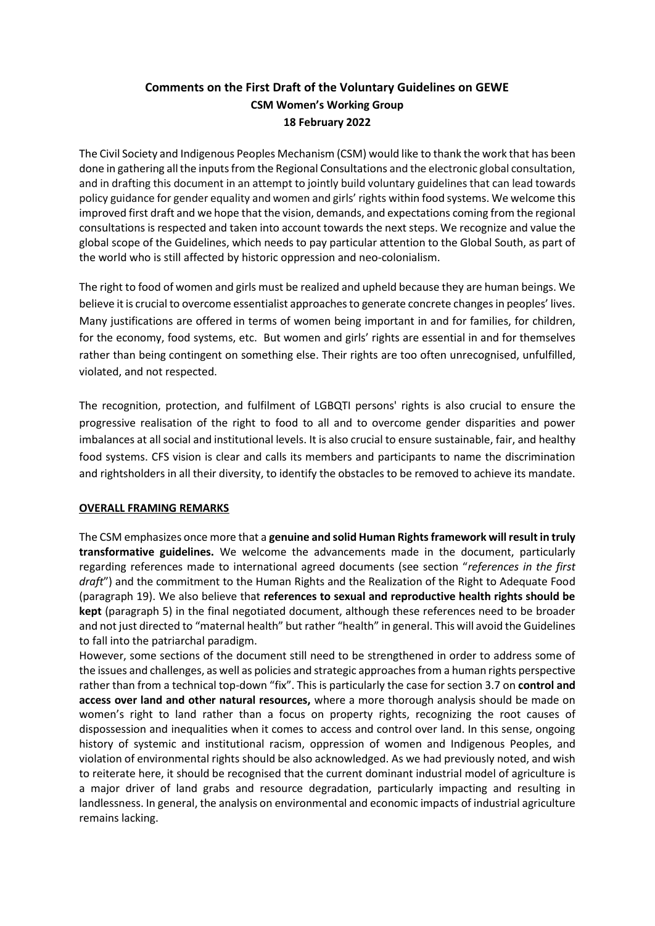# **Comments on the First Draft of the Voluntary Guidelines on GEWE CSM Women's Working Group 18 February 2022**

The Civil Society and Indigenous Peoples Mechanism (CSM) would like to thank the work that has been done in gathering all the inputs from the Regional Consultations and the electronic global consultation, and in drafting this document in an attempt to jointly build voluntary guidelines that can lead towards policy guidance for gender equality and women and girls' rights within food systems. We welcome this improved first draft and we hope that the vision, demands, and expectations coming from the regional consultations is respected and taken into account towards the next steps. We recognize and value the global scope of the Guidelines, which needs to pay particular attention to the Global South, as part of the world who is still affected by historic oppression and neo-colonialism.

The right to food of women and girls must be realized and upheld because they are human beings. We believe it is crucial to overcome essentialist approaches to generate concrete changes in peoples' lives. Many justifications are offered in terms of women being important in and for families, for children, for the economy, food systems, etc. But women and girls' rights are essential in and for themselves rather than being contingent on something else. Their rights are too often unrecognised, unfulfilled, violated, and not respected.

The recognition, protection, and fulfilment of LGBQTI persons' rights is also crucial to ensure the progressive realisation of the right to food to all and to overcome gender disparities and power imbalances at all social and institutional levels. It is also crucial to ensure sustainable, fair, and healthy food systems. CFS vision is clear and calls its members and participants to name the discrimination and rightsholders in all their diversity, to identify the obstacles to be removed to achieve its mandate.

#### **OVERALL FRAMING REMARKS**

The CSM emphasizes once more that a **genuine and solid Human Rights framework will result in truly transformative guidelines.** We welcome the advancements made in the document, particularly regarding references made to international agreed documents (see section "*references in the first draft*") and the commitment to the Human Rights and the Realization of the Right to Adequate Food (paragraph 19). We also believe that **references to sexual and reproductive health rights should be kept** (paragraph 5) in the final negotiated document, although these references need to be broader and not just directed to "maternal health" but rather "health" in general. This will avoid the Guidelines to fall into the patriarchal paradigm.

However, some sections of the document still need to be strengthened in order to address some of the issues and challenges, as well as policies and strategic approaches from a human rights perspective rather than from a technical top-down "fix". This is particularly the case for section 3.7 on **control and access over land and other natural resources,** where a more thorough analysis should be made on women's right to land rather than a focus on property rights, recognizing the root causes of dispossession and inequalities when it comes to access and control over land. In this sense, ongoing history of systemic and institutional racism, oppression of women and Indigenous Peoples, and violation of environmental rights should be also acknowledged. As we had previously noted, and wish to reiterate here, it should be recognised that the current dominant industrial model of agriculture is a major driver of land grabs and resource degradation, particularly impacting and resulting in landlessness. In general, the analysis on environmental and economic impacts of industrial agriculture remains lacking.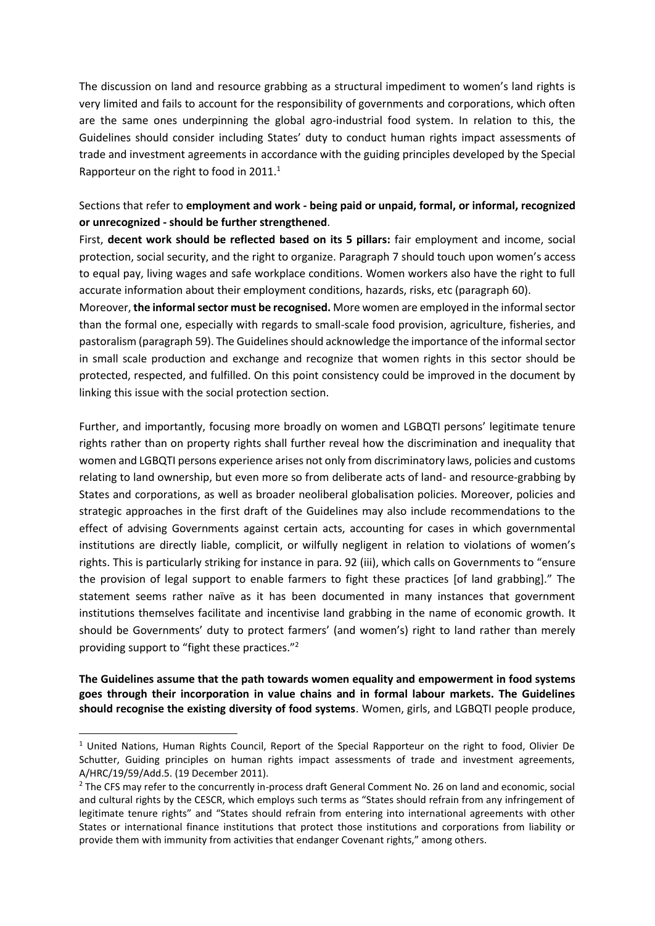The discussion on land and resource grabbing as a structural impediment to women's land rights is very limited and fails to account for the responsibility of governments and corporations, which often are the same ones underpinning the global agro-industrial food system. In relation to this, the Guidelines should consider including States' duty to conduct human rights impact assessments of trade and investment agreements in accordance with the guiding principles developed by the Special Rapporteur on the right to food in 2011. $<sup>1</sup>$ </sup>

## Sections that refer to **employment and work - being paid or unpaid, formal, or informal, recognized or unrecognized - should be further strengthened**.

First, **decent work should be reflected based on its 5 pillars:** fair employment and income, social protection, social security, and the right to organize. Paragraph 7 should touch upon women's access to equal pay, living wages and safe workplace conditions. Women workers also have the right to full accurate information about their employment conditions, hazards, risks, etc (paragraph 60).

Moreover, **the informal sector must be recognised.** More women are employed in the informal sector than the formal one, especially with regards to small-scale food provision, agriculture, fisheries, and pastoralism (paragraph 59). The Guidelines should acknowledge the importance of the informal sector in small scale production and exchange and recognize that women rights in this sector should be protected, respected, and fulfilled. On this point consistency could be improved in the document by linking this issue with the social protection section.

Further, and importantly, focusing more broadly on women and LGBQTI persons' legitimate tenure rights rather than on property rights shall further reveal how the discrimination and inequality that women and LGBQTI persons experience arises not only from discriminatory laws, policies and customs relating to land ownership, but even more so from deliberate acts of land- and resource-grabbing by States and corporations, as well as broader neoliberal globalisation policies. Moreover, policies and strategic approaches in the first draft of the Guidelines may also include recommendations to the effect of advising Governments against certain acts, accounting for cases in which governmental institutions are directly liable, complicit, or wilfully negligent in relation to violations of women's rights. This is particularly striking for instance in para. 92 (iii), which calls on Governments to "ensure the provision of legal support to enable farmers to fight these practices [of land grabbing]." The statement seems rather naïve as it has been documented in many instances that government institutions themselves facilitate and incentivise land grabbing in the name of economic growth. It should be Governments' duty to protect farmers' (and women's) right to land rather than merely providing support to "fight these practices."<sup>2</sup>

**The Guidelines assume that the path towards women equality and empowerment in food systems goes through their incorporation in value chains and in formal labour markets. The Guidelines should recognise the existing diversity of food systems**. Women, girls, and LGBQTI people produce,

-

<sup>&</sup>lt;sup>1</sup> United Nations, Human Rights Council, Report of the Special Rapporteur on the right to food, Olivier De Schutter, Guiding principles on human rights impact assessments of trade and investment agreements, A/HRC/19/59/Add.5. (19 December 2011).

<sup>&</sup>lt;sup>2</sup> The CFS may refer to the concurrently in-process draft General Comment No. 26 on land and economic, social and cultural rights by the CESCR, which employs such terms as "States should refrain from any infringement of legitimate tenure rights" and "States should refrain from entering into international agreements with other States or international finance institutions that protect those institutions and corporations from liability or provide them with immunity from activities that endanger Covenant rights," among others.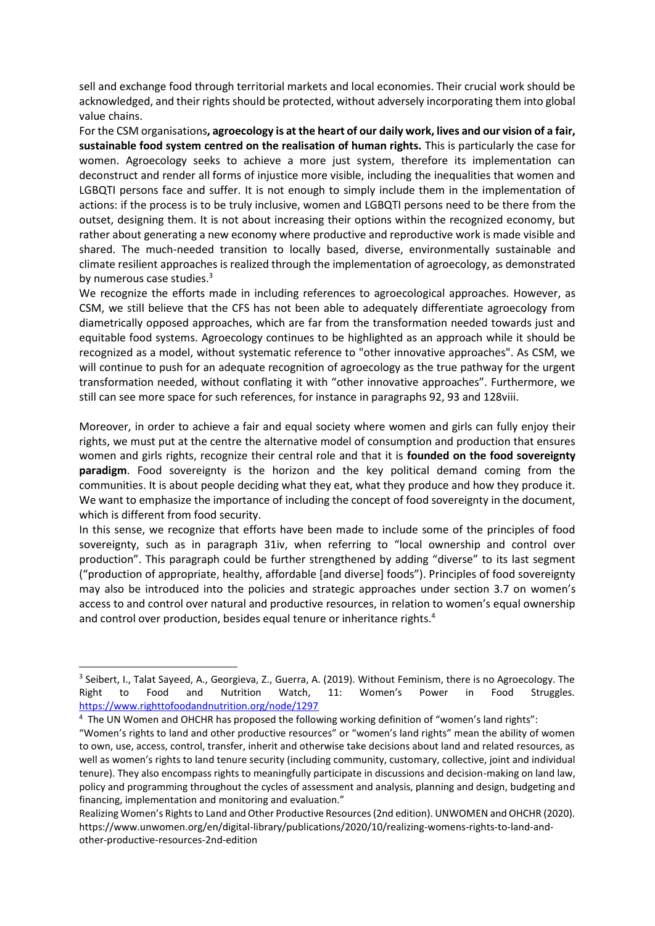sell and exchange food through territorial markets and local economies. Their crucial work should be acknowledged, and their rights should be protected, without adversely incorporating them into global value chains.

For the CSM organisations**, agroecology is at the heart of our daily work, lives and our vision of a fair, sustainable food system centred on the realisation of human rights.** This is particularly the case for women. Agroecology seeks to achieve a more just system, therefore its implementation can deconstruct and render all forms of injustice more visible, including the inequalities that women and LGBQTI persons face and suffer. It is not enough to simply include them in the implementation of actions: if the process is to be truly inclusive, women and LGBQTI persons need to be there from the outset, designing them. It is not about increasing their options within the recognized economy, but rather about generating a new economy where productive and reproductive work is made visible and shared. The much-needed transition to locally based, diverse, environmentally sustainable and climate resilient approaches is realized through the implementation of agroecology, as demonstrated by numerous case studies.<sup>3</sup>

We recognize the efforts made in including references to agroecological approaches. However, as CSM, we still believe that the CFS has not been able to adequately differentiate agroecology from diametrically opposed approaches, which are far from the transformation needed towards just and equitable food systems. Agroecology continues to be highlighted as an approach while it should be recognized as a model, without systematic reference to "other innovative approaches". As CSM, we will continue to push for an adequate recognition of agroecology as the true pathway for the urgent transformation needed, without conflating it with "other innovative approaches". Furthermore, we still can see more space for such references, for instance in paragraphs 92, 93 and 128viii.

Moreover, in order to achieve a fair and equal society where women and girls can fully enjoy their rights, we must put at the centre the alternative model of consumption and production that ensures women and girls rights, recognize their central role and that it is **founded on the food sovereignty paradigm**. Food sovereignty is the horizon and the key political demand coming from the communities. It is about people deciding what they eat, what they produce and how they produce it. We want to emphasize the importance of including the concept of food sovereignty in the document, which is different from food security.

In this sense, we recognize that efforts have been made to include some of the principles of food sovereignty, such as in paragraph 31iv, when referring to "local ownership and control over production". This paragraph could be further strengthened by adding "diverse" to its last segment ("production of appropriate, healthy, affordable [and diverse] foods"). Principles of food sovereignty may also be introduced into the policies and strategic approaches under section 3.7 on women's access to and control over natural and productive resources, in relation to women's equal ownership and control over production, besides equal tenure or inheritance rights.<sup>4</sup>

-

<sup>&</sup>lt;sup>3</sup> Seibert, I., Talat Sayeed, A., Georgieva, Z., Guerra, A. (2019). Without Feminism, there is no Agroecology. The Right to Food and Nutrition Watch, 11: Women's Power in Food Struggles. <https://www.righttofoodandnutrition.org/node/1297>

<sup>&</sup>lt;sup>4</sup> The UN Women and OHCHR has proposed the following working definition of "women's land rights":

<sup>&</sup>quot;Women's rights to land and other productive resources" or "women's land rights" mean the ability of women to own, use, access, control, transfer, inherit and otherwise take decisions about land and related resources, as well as women's rights to land tenure security (including community, customary, collective, joint and individual tenure). They also encompass rights to meaningfully participate in discussions and decision-making on land law, policy and programming throughout the cycles of assessment and analysis, planning and design, budgeting and financing, implementation and monitoring and evaluation."

Realizing Women's Rights to Land and Other Productive Resources (2nd edition). UNWOMEN and OHCHR (2020). [https://www.unwomen.org/en/digital-library/publications/2020/10/realizing-womens-rights-to-land-and](https://www.unwomen.org/en/digital-library/publications/2020/10/realizing-womens-rights-to-land-and-other-productive-resources-2nd-edition)[other-productive-resources-2nd-edition](https://www.unwomen.org/en/digital-library/publications/2020/10/realizing-womens-rights-to-land-and-other-productive-resources-2nd-edition)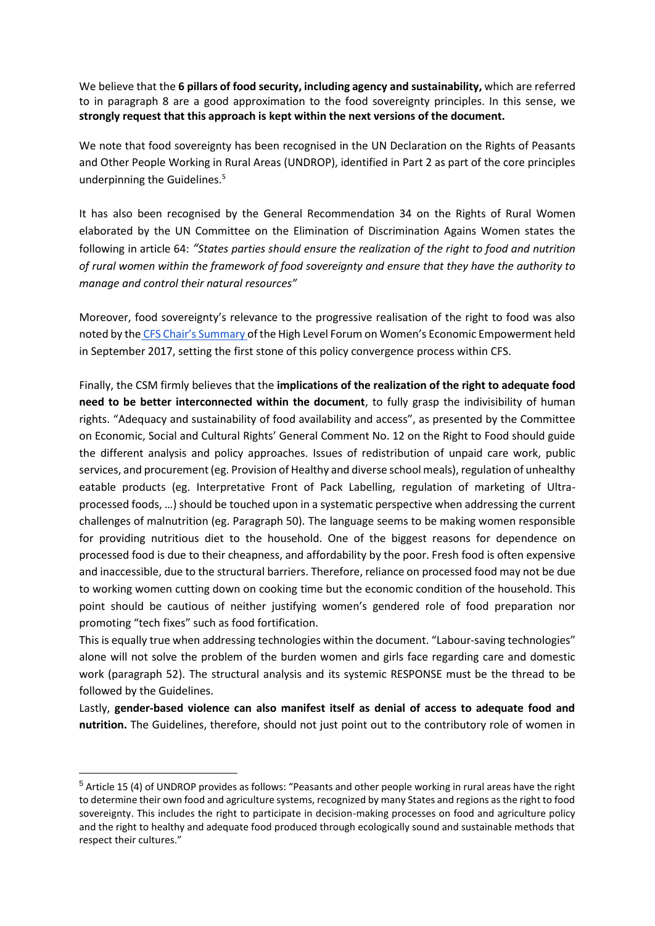We believe that the **6 pillars of food security, including agency and sustainability,** which are referred to in paragraph 8 are a good approximation to the food sovereignty principles. In this sense, we **strongly request that this approach is kept within the next versions of the document.**

We note that food sovereignty has been recognised in the UN Declaration on the Rights of Peasants and Other People Working in Rural Areas (UNDROP), identified in Part 2 as part of the core principles underpinning the Guidelines.<sup>5</sup>

It has also been recognised by the General Recommendation 34 on the Rights of Rural Women elaborated by the UN Committee on the Elimination of Discrimination Agains Women states the following in article 64: *"States parties should ensure the realization of the right to food and nutrition of rural women within the framework of food sovereignty and ensure that they have the authority to manage and control their natural resources"*

Moreover, food sovereignty's relevance to the progressive realisation of the right to food was also noted by the [CFS Chair's Summary o](https://www.fao.org/fileadmin/templates/cfs/Events/Women25Sep/CFS_Forum_WomenEmp_ChairSummary_final_25_Sept.pdf)f the High Level Forum on Women's Economic Empowerment held in September 2017, setting the first stone of this policy convergence process within CFS.

Finally, the CSM firmly believes that the **implications of the realization of the right to adequate food need to be better interconnected within the document**, to fully grasp the indivisibility of human rights. "Adequacy and sustainability of food availability and access", as presented by the Committee on Economic, Social and Cultural Rights' General Comment No. 12 on the Right to Food should guide the different analysis and policy approaches. Issues of redistribution of unpaid care work, public services, and procurement (eg. Provision of Healthy and diverse school meals), regulation of unhealthy eatable products (eg. Interpretative Front of Pack Labelling, regulation of marketing of Ultraprocessed foods, …) should be touched upon in a systematic perspective when addressing the current challenges of malnutrition (eg. Paragraph 50). The language seems to be making women responsible for providing nutritious diet to the household. One of the biggest reasons for dependence on processed food is due to their cheapness, and affordability by the poor. Fresh food is often expensive and inaccessible, due to the structural barriers. Therefore, reliance on processed food may not be due to working women cutting down on cooking time but the economic condition of the household. This point should be cautious of neither justifying women's gendered role of food preparation nor promoting "tech fixes" such as food fortification.

This is equally true when addressing technologies within the document. "Labour-saving technologies" alone will not solve the problem of the burden women and girls face regarding care and domestic work (paragraph 52). The structural analysis and its systemic RESPONSE must be the thread to be followed by the Guidelines.

Lastly, **gender-based violence can also manifest itself as denial of access to adequate food and nutrition.** The Guidelines, therefore, should not just point out to the contributory role of women in

-

<sup>5</sup> Article 15 (4) of UNDROP provides as follows: "Peasants and other people working in rural areas have the right to determine their own food and agriculture systems, recognized by many States and regions as the right to food sovereignty. This includes the right to participate in decision-making processes on food and agriculture policy and the right to healthy and adequate food produced through ecologically sound and sustainable methods that respect their cultures."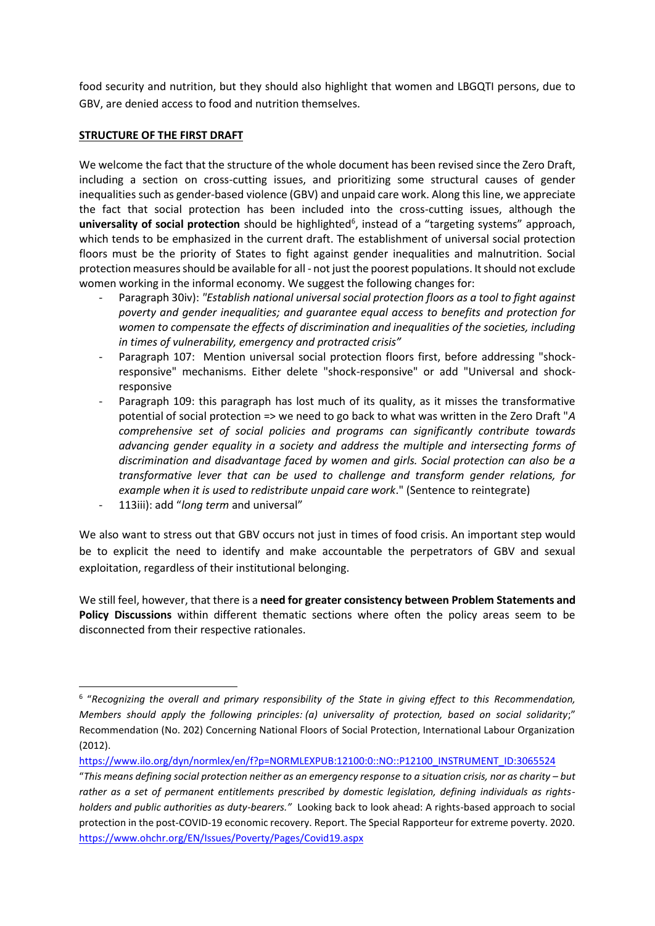food security and nutrition, but they should also highlight that women and LBGQTI persons, due to GBV, are denied access to food and nutrition themselves.

#### **STRUCTURE OF THE FIRST DRAFT**

We welcome the fact that the structure of the whole document has been revised since the Zero Draft, including a section on cross-cutting issues, and prioritizing some structural causes of gender inequalities such as gender-based violence (GBV) and unpaid care work. Along this line, we appreciate the fact that social protection has been included into the cross-cutting issues, although the universality of social protection should be highlighted<sup>6</sup>, instead of a "targeting systems" approach, which tends to be emphasized in the current draft. The establishment of universal social protection floors must be the priority of States to fight against gender inequalities and malnutrition. Social protection measures should be available for all - not just the poorest populations. It should not exclude women working in the informal economy. We suggest the following changes for:

- Paragraph 30iv): *"Establish national universal social protection floors as a tool to fight against poverty and gender inequalities; and guarantee equal access to benefits and protection for women to compensate the effects of discrimination and inequalities of the societies, including in times of vulnerability, emergency and protracted crisis"*
- Paragraph 107: Mention universal social protection floors first, before addressing "shockresponsive" mechanisms. Either delete "shock-responsive" or add "Universal and shockresponsive
- Paragraph 109: this paragraph has lost much of its quality, as it misses the transformative potential of social protection => we need to go back to what was written in the Zero Draft "*A comprehensive set of social policies and programs can significantly contribute towards advancing gender equality in a society and address the multiple and intersecting forms of discrimination and disadvantage faced by women and girls. Social protection can also be a transformative lever that can be used to challenge and transform gender relations, for example when it is used to redistribute unpaid care work*." (Sentence to reintegrate)
- 113iii): add "*long term* and universal"

-

We also want to stress out that GBV occurs not just in times of food crisis. An important step would be to explicit the need to identify and make accountable the perpetrators of GBV and sexual exploitation, regardless of their institutional belonging.

We still feel, however, that there is a **need for greater consistency between Problem Statements and Policy Discussions** within different thematic sections where often the policy areas seem to be disconnected from their respective rationales.

<sup>6</sup> "*Recognizing the overall and primary responsibility of the State in giving effect to this Recommendation, Members should apply the following principles: (a) universality of protection, based on social solidarity*;" Recommendation (No. 202) Concerning National Floors of Social Protection, International Labour Organization (2012).

[https://www.ilo.org/dyn/normlex/en/f?p=NORMLEXPUB:12100:0::NO::P12100\\_INSTRUMENT\\_ID:3065524](https://www.ilo.org/dyn/normlex/en/f?p=NORMLEXPUB:12100:0::NO::P12100_INSTRUMENT_ID:3065524)

<sup>&</sup>quot;This means defining social protection neither as an emergency response to a situation crisis, nor as charity – but *rather as a set of permanent entitlements prescribed by domestic legislation, defining individuals as rightsholders and public authorities as duty-bearers."* Looking back to look ahead: A rights-based approach to social protection in the post-COVID-19 economic recovery. Report. The Special Rapporteur for extreme poverty. 2020. <https://www.ohchr.org/EN/Issues/Poverty/Pages/Covid19.aspx>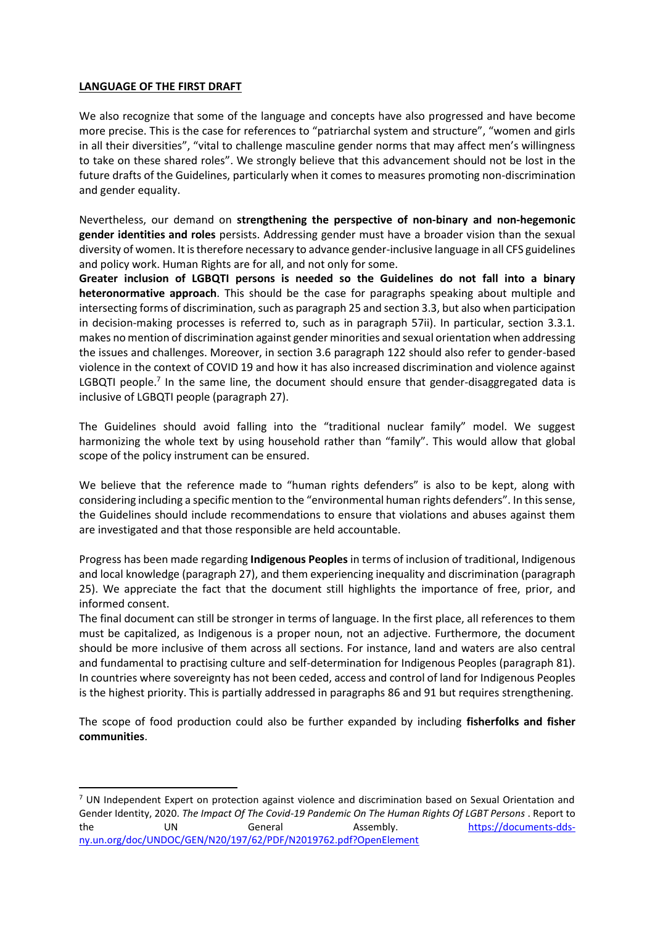#### **LANGUAGE OF THE FIRST DRAFT**

-

We also recognize that some of the language and concepts have also progressed and have become more precise. This is the case for references to "patriarchal system and structure", "women and girls in all their diversities", "vital to challenge masculine gender norms that may affect men's willingness to take on these shared roles". We strongly believe that this advancement should not be lost in the future drafts of the Guidelines, particularly when it comes to measures promoting non-discrimination and gender equality.

Nevertheless, our demand on **strengthening the perspective of non-binary and non-hegemonic gender identities and roles** persists. Addressing gender must have a broader vision than the sexual diversity of women. It is therefore necessary to advance gender-inclusive language in all CFS guidelines and policy work. Human Rights are for all, and not only for some.

**Greater inclusion of LGBQTI persons is needed so the Guidelines do not fall into a binary heteronormative approach**. This should be the case for paragraphs speaking about multiple and intersecting forms of discrimination, such as paragraph 25 and section 3.3, but also when participation in decision-making processes is referred to, such as in paragraph 57ii). In particular, section 3.3.1. makes no mention of discrimination against gender minorities and sexual orientation when addressing the issues and challenges. Moreover, in section 3.6 paragraph 122 should also refer to gender-based violence in the context of COVID 19 and how it has also increased discrimination and violence against LGBQTI people.<sup>7</sup> In the same line, the document should ensure that gender-disaggregated data is inclusive of LGBQTI people (paragraph 27).

The Guidelines should avoid falling into the "traditional nuclear family" model. We suggest harmonizing the whole text by using household rather than "family". This would allow that global scope of the policy instrument can be ensured.

We believe that the reference made to "human rights defenders" is also to be kept, along with considering including a specific mention to the "environmental human rights defenders". In this sense, the Guidelines should include recommendations to ensure that violations and abuses against them are investigated and that those responsible are held accountable.

Progress has been made regarding **Indigenous Peoples** in terms of inclusion of traditional, Indigenous and local knowledge (paragraph 27), and them experiencing inequality and discrimination (paragraph 25). We appreciate the fact that the document still highlights the importance of free, prior, and informed consent.

The final document can still be stronger in terms of language. In the first place, all references to them must be capitalized, as Indigenous is a proper noun, not an adjective. Furthermore, the document should be more inclusive of them across all sections. For instance, land and waters are also central and fundamental to practising culture and self-determination for Indigenous Peoples (paragraph 81). In countries where sovereignty has not been ceded, access and control of land for Indigenous Peoples is the highest priority. This is partially addressed in paragraphs 86 and 91 but requires strengthening.

The scope of food production could also be further expanded by including **fisherfolks and fisher communities**.

 $<sup>7</sup>$  UN Independent Expert on protection against violence and discrimination based on Sexual Orientation and</sup> Gender Identity, 2020. *The Impact Of The Covid-19 Pandemic On The Human Rights Of LGBT Persons* . Report to the UN General Assembly. [https://documents-dds](https://documents-dds-ny.un.org/doc/UNDOC/GEN/N20/197/62/PDF/N2019762.pdf?OpenElement)[ny.un.org/doc/UNDOC/GEN/N20/197/62/PDF/N2019762.pdf?OpenElement](https://documents-dds-ny.un.org/doc/UNDOC/GEN/N20/197/62/PDF/N2019762.pdf?OpenElement)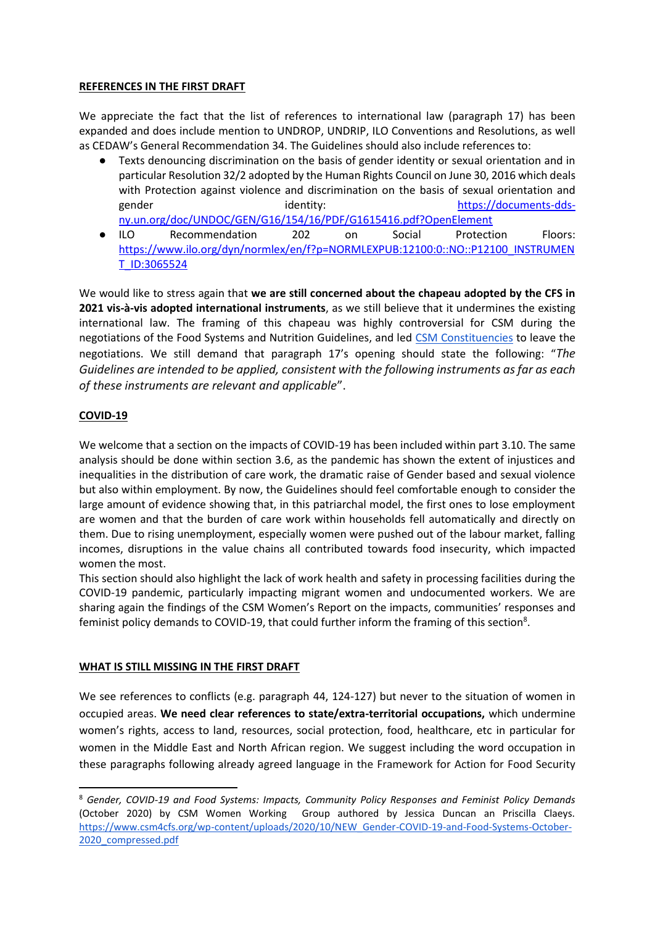#### **REFERENCES IN THE FIRST DRAFT**

We appreciate the fact that the list of references to international law (paragraph 17) has been expanded and does include mention to UNDROP, UNDRIP, ILO Conventions and Resolutions, as well as CEDAW's General Recommendation 34. The Guidelines should also include references to:

- Texts denouncing discrimination on the basis of gender identity or sexual orientation and in particular Resolution 32/2 adopted by the Human Rights Council on June 30, 2016 which deals with Protection against violence and discrimination on the basis of sexual orientation and gender identity: in the interest of the set of the set of the set of the set of the set of the set of the set o [ny.un.org/doc/UNDOC/GEN/G16/154/16/PDF/G1615416.pdf?OpenElement](https://documents-dds-ny.un.org/doc/UNDOC/GEN/G16/154/16/PDF/G1615416.pdf?OpenElement)
- ILO Recommendation 202 on Social Protection Floors: [https://www.ilo.org/dyn/normlex/en/f?p=NORMLEXPUB:12100:0::NO::P12100\\_INSTRUMEN](https://www.ilo.org/dyn/normlex/en/f?p=NORMLEXPUB:12100:0::NO::P12100_INSTRUMENT_ID:3065524) [T\\_ID:3065524](https://www.ilo.org/dyn/normlex/en/f?p=NORMLEXPUB:12100:0::NO::P12100_INSTRUMENT_ID:3065524)

We would like to stress again that **we are still concerned about the chapeau adopted by the CFS in 2021 vis-à-vis adopted international instruments**, as we still believe that it undermines the existing international law. The framing of this chapeau was highly controversial for CSM during the negotiations of the Food Systems and Nutrition Guidelines, and led [CSM Constituencies](https://www.youtube.com/watch?v=F0MsuhcLbVE&feature=emb_imp_woyt) to leave the negotiations. We still demand that paragraph 17's opening should state the following: "*The Guidelines are intended to be applied, consistent with the following instruments as far as each of these instruments are relevant and applicable*".

### **COVID-19**

-

We welcome that a section on the impacts of COVID-19 has been included within part 3.10. The same analysis should be done within section 3.6, as the pandemic has shown the extent of injustices and inequalities in the distribution of care work, the dramatic raise of Gender based and sexual violence but also within employment. By now, the Guidelines should feel comfortable enough to consider the large amount of evidence showing that, in this patriarchal model, the first ones to lose employment are women and that the burden of care work within households fell automatically and directly on them. Due to rising unemployment, especially women were pushed out of the labour market, falling incomes, disruptions in the value chains all contributed towards food insecurity, which impacted women the most.

This section should also highlight the lack of work health and safety in processing facilities during the COVID-19 pandemic, particularly impacting migrant women and undocumented workers. We are sharing again the findings of the CSM Women's Report on the impacts, communities' responses and feminist policy demands to COVID-19, that could further inform the framing of this section<sup>8</sup>.

### **WHAT IS STILL MISSING IN THE FIRST DRAFT**

We see references to conflicts (e.g. paragraph 44, 124-127) but never to the situation of women in occupied areas. **We need clear references to state/extra-territorial occupations,** which undermine women's rights, access to land, resources, social protection, food, healthcare, etc in particular for women in the Middle East and North African region. We suggest including the word occupation in these paragraphs following already agreed language in the Framework for Action for Food Security

<sup>8</sup> *Gender, COVID-19 and Food Systems: Impacts, Community Policy Responses and Feminist Policy Demands*  (October 2020) by CSM Women Working Group authored by Jessica Duncan an Priscilla Claeys. [https://www.csm4cfs.org/wp-content/uploads/2020/10/NEW\\_Gender-COVID-19-and-Food-Systems-October-](https://www.csm4cfs.org/wp-content/uploads/2020/10/NEW_Gender-COVID-19-and-Food-Systems-October-2020_compressed.pdf)[2020\\_compressed.pdf](https://www.csm4cfs.org/wp-content/uploads/2020/10/NEW_Gender-COVID-19-and-Food-Systems-October-2020_compressed.pdf)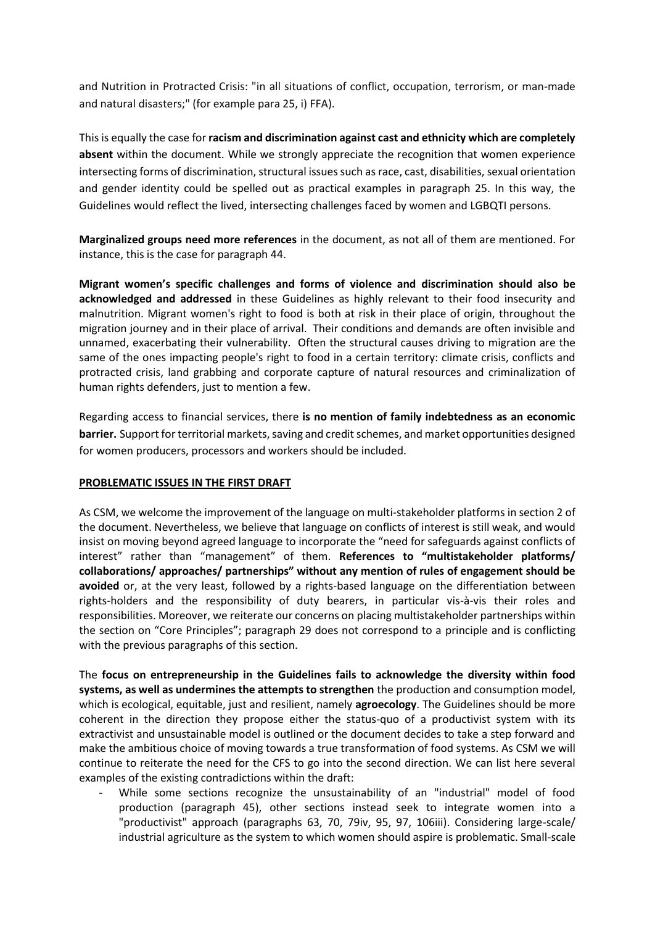and Nutrition in Protracted Crisis: "in all situations of conflict, occupation, terrorism, or man-made and natural disasters;" (for example para 25, i) FFA).

This is equally the case for **racism and discrimination against cast and ethnicity which are completely absent** within the document. While we strongly appreciate the recognition that women experience intersecting forms of discrimination, structural issues such as race, cast, disabilities, sexual orientation and gender identity could be spelled out as practical examples in paragraph 25. In this way, the Guidelines would reflect the lived, intersecting challenges faced by women and LGBQTI persons.

**Marginalized groups need more references** in the document, as not all of them are mentioned. For instance, this is the case for paragraph 44.

**Migrant women's specific challenges and forms of violence and discrimination should also be acknowledged and addressed** in these Guidelines as highly relevant to their food insecurity and malnutrition. Migrant women's right to food is both at risk in their place of origin, throughout the migration journey and in their place of arrival. Their conditions and demands are often invisible and unnamed, exacerbating their vulnerability. Often the structural causes driving to migration are the same of the ones impacting people's right to food in a certain territory: climate crisis, conflicts and protracted crisis, land grabbing and corporate capture of natural resources and criminalization of human rights defenders, just to mention a few.

Regarding access to financial services, there **is no mention of family indebtedness as an economic barrier.** Support for territorial markets, saving and credit schemes, and market opportunities designed for women producers, processors and workers should be included.

#### **PROBLEMATIC ISSUES IN THE FIRST DRAFT**

As CSM, we welcome the improvement of the language on multi-stakeholder platforms in section 2 of the document. Nevertheless, we believe that language on conflicts of interest is still weak, and would insist on moving beyond agreed language to incorporate the "need for safeguards against conflicts of interest" rather than "management" of them. **References to "multistakeholder platforms/ collaborations/ approaches/ partnerships" without any mention of rules of engagement should be avoided** or, at the very least, followed by a rights-based language on the differentiation between rights-holders and the responsibility of duty bearers, in particular vis-à-vis their roles and responsibilities. Moreover, we reiterate our concerns on placing multistakeholder partnerships within the section on "Core Principles"; paragraph 29 does not correspond to a principle and is conflicting with the previous paragraphs of this section.

The **focus on entrepreneurship in the Guidelines fails to acknowledge the diversity within food systems, as well as undermines the attempts to strengthen** the production and consumption model, which is ecological, equitable, just and resilient, namely **agroecology**. The Guidelines should be more coherent in the direction they propose either the status-quo of a productivist system with its extractivist and unsustainable model is outlined or the document decides to take a step forward and make the ambitious choice of moving towards a true transformation of food systems. As CSM we will continue to reiterate the need for the CFS to go into the second direction. We can list here several examples of the existing contradictions within the draft:

While some sections recognize the unsustainability of an "industrial" model of food production (paragraph 45), other sections instead seek to integrate women into a "productivist" approach (paragraphs 63, 70, 79iv, 95, 97, 106iii). Considering large-scale/ industrial agriculture as the system to which women should aspire is problematic. Small-scale